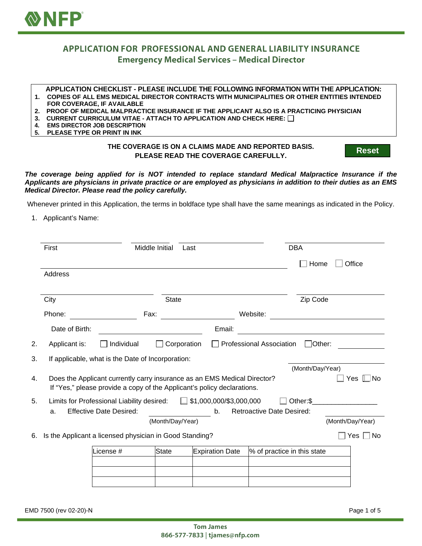

## **APPLICATION FOR PROFESSIONAL AND GENERAL LIABILITY INSURANCE Emergency Medical Services - Medical Director**

## **APPLICATION CHECKLIST - PLEASE INCLUDE THE FOLLOWING INFORMATION WITH THE APPLICATION:**

- **1. COPIES OF ALL EMS MEDICAL DIRECTOR CONTRACTS WITH MUNICIPALITIES OR OTHER ENTITIES INTENDED FOR COVERAGE, IF AVAILABLE**
- **2. PROOF OF MEDICAL MALPRACTICE INSURANCE IF THE APPLICANT ALSO IS A PRACTICING PHYSICIAN**
- **3. CURRENT CURRICULUM VITAE ATTACH TO APPLICATION AND CHECK HERE:**
- **4. EMS DIRECTOR JOB DESCRIPTION**
- **5. PLEASE TYPE OR PRINT IN INK**

## **THE COVERAGE IS ON A CLAIMS MADE AND REPORTED BASIS. PLEASE READ THE COVERAGE CAREFULLY.**

**Reset**

*The coverage being applied for is NOT intended to replace standard Medical Malpractice Insurance if the Applicants are physicians in private practice or are employed as physicians in addition to their duties as an EMS Medical Director. Please read the policy carefully.*

Whenever printed in this Application, the terms in boldface type shall have the same meanings as indicated in the Policy.

1. Applicant's Name:

|    | First                                                                          |                                                                          | Middle Initial<br>Last |                                |                                 | <b>DBA</b>                                                                                                           |                  |  |
|----|--------------------------------------------------------------------------------|--------------------------------------------------------------------------|------------------------|--------------------------------|---------------------------------|----------------------------------------------------------------------------------------------------------------------|------------------|--|
|    |                                                                                |                                                                          |                        |                                |                                 | Home                                                                                                                 | Office           |  |
|    | Address                                                                        |                                                                          |                        |                                |                                 |                                                                                                                      |                  |  |
|    |                                                                                |                                                                          |                        |                                |                                 |                                                                                                                      |                  |  |
|    | City                                                                           |                                                                          | <b>State</b>           |                                |                                 | Zip Code                                                                                                             |                  |  |
|    | Phone:                                                                         | Fax:                                                                     |                        |                                | Website:                        |                                                                                                                      |                  |  |
|    | Date of Birth:                                                                 |                                                                          |                        | Email:                         |                                 | <u> 1980 - Jan Samuel Barbara, martin da shekara 1980 - An tsara 1980 - An tsara 1980 - An tsara 1980 - An tsara</u> |                  |  |
| 2. | Applicant is:                                                                  | Individual                                                               | Corporation            |                                | <b>Professional Association</b> | $\Box$ Other:                                                                                                        |                  |  |
| 3. |                                                                                | If applicable, what is the Date of Incorporation:                        |                        |                                |                                 |                                                                                                                      |                  |  |
|    |                                                                                |                                                                          |                        |                                |                                 | (Month/Day/Year)                                                                                                     |                  |  |
| 4. |                                                                                | Does the Applicant currently carry insurance as an EMS Medical Director? |                        |                                |                                 |                                                                                                                      | Yes  ∐No         |  |
|    |                                                                                | If "Yes," please provide a copy of the Applicant's policy declarations.  |                        |                                |                                 |                                                                                                                      |                  |  |
| 5. |                                                                                | Limits for Professional Liability desired:                               |                        | $\Box$ \$1,000,000/\$3,000,000 |                                 | Other:\$                                                                                                             |                  |  |
|    | <b>Effective Date Desired:</b><br><b>Retroactive Date Desired:</b><br>b.<br>a. |                                                                          |                        |                                |                                 |                                                                                                                      |                  |  |
|    |                                                                                |                                                                          | (Month/Day/Year)       |                                |                                 |                                                                                                                      | (Month/Day/Year) |  |
| 6. |                                                                                | Is the Applicant a licensed physician in Good Standing?                  |                        |                                |                                 |                                                                                                                      | No<br>Yes        |  |
|    |                                                                                | License #                                                                | State                  | <b>Expiration Date</b>         | % of practice in this state     |                                                                                                                      |                  |  |
|    |                                                                                |                                                                          |                        |                                |                                 |                                                                                                                      |                  |  |
|    |                                                                                |                                                                          |                        |                                |                                 |                                                                                                                      |                  |  |
|    |                                                                                |                                                                          |                        |                                |                                 |                                                                                                                      |                  |  |

EMD 7500 (rev 02-20)-N Page 1 of 5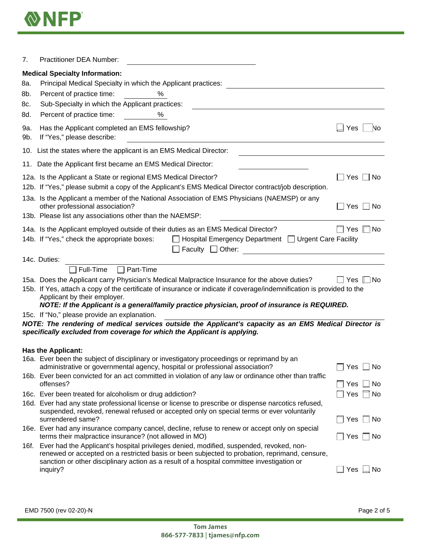

| 7.         | <b>Practitioner DEA Number:</b>                                                                                                                                                                                                                                                                         |                       |  |  |  |  |
|------------|---------------------------------------------------------------------------------------------------------------------------------------------------------------------------------------------------------------------------------------------------------------------------------------------------------|-----------------------|--|--|--|--|
|            | <b>Medical Specialty Information:</b>                                                                                                                                                                                                                                                                   |                       |  |  |  |  |
| 8a.        | Principal Medical Specialty in which the Applicant practices:                                                                                                                                                                                                                                           |                       |  |  |  |  |
| 8b.        | Percent of practice time:<br>$\%$                                                                                                                                                                                                                                                                       |                       |  |  |  |  |
| 8c.        | Sub-Specialty in which the Applicant practices:                                                                                                                                                                                                                                                         |                       |  |  |  |  |
| 8d.        | Percent of practice time:<br>%                                                                                                                                                                                                                                                                          |                       |  |  |  |  |
| 9a.<br>9b. | Has the Applicant completed an EMS fellowship?<br>If "Yes," please describe:                                                                                                                                                                                                                            | Yes<br>No             |  |  |  |  |
|            | 10. List the states where the applicant is an EMS Medical Director:                                                                                                                                                                                                                                     |                       |  |  |  |  |
|            | 11. Date the Applicant first became an EMS Medical Director:                                                                                                                                                                                                                                            |                       |  |  |  |  |
|            | 12a. Is the Applicant a State or regional EMS Medical Director?<br>12b. If "Yes," please submit a copy of the Applicant's EMS Medical Director contract/job description.                                                                                                                                | Yes<br>No             |  |  |  |  |
|            | 13a. Is the Applicant a member of the National Association of EMS Physicians (NAEMSP) or any<br>other professional association?<br>13b. Please list any associations other than the NAEMSP:                                                                                                             |                       |  |  |  |  |
|            | 14a. Is the Applicant employed outside of their duties as an EMS Medical Director?                                                                                                                                                                                                                      | No.<br><b>Yes</b>     |  |  |  |  |
|            | 14b. If "Yes," check the appropriate boxes:<br>Hospital Emergency Department   Urgent Care Facility<br>Faculty $\Box$<br>Other:                                                                                                                                                                         |                       |  |  |  |  |
|            | 14c. Duties:                                                                                                                                                                                                                                                                                            |                       |  |  |  |  |
|            | Full-Time<br>$\Box$ Part-Time                                                                                                                                                                                                                                                                           |                       |  |  |  |  |
|            | 15a. Does the Applicant carry Physician's Medical Malpractice Insurance for the above duties?                                                                                                                                                                                                           | $\exists$ No<br>Yes I |  |  |  |  |
|            | 15b. If Yes, attach a copy of the certificate of insurance or indicate if coverage/indemnification is provided to the<br>Applicant by their employer.<br>NOTE: If the Applicant is a general/family practice physician, proof of insurance is REQUIRED.                                                 |                       |  |  |  |  |
|            | 15c. If "No," please provide an explanation.                                                                                                                                                                                                                                                            |                       |  |  |  |  |
|            | NOTE: The rendering of medical services outside the Applicant's capacity as an EMS Medical Director is<br>specifically excluded from coverage for which the Applicant is applying.                                                                                                                      |                       |  |  |  |  |
|            | <b>Has the Applicant:</b>                                                                                                                                                                                                                                                                               |                       |  |  |  |  |
|            | 16a. Ever been the subject of disciplinary or investigatory proceedings or reprimand by an<br>administrative or governmental agency, hospital or professional association?                                                                                                                              | Yes<br>No             |  |  |  |  |
|            | 16b. Ever been convicted for an act committed in violation of any law or ordinance other than traffic<br>offenses?                                                                                                                                                                                      | Yes<br>No.            |  |  |  |  |
|            | 16c. Ever been treated for alcoholism or drug addiction?                                                                                                                                                                                                                                                | Yes<br>No.            |  |  |  |  |
|            | 16d. Ever had any state professional license or license to prescribe or dispense narcotics refused,<br>suspended, revoked, renewal refused or accepted only on special terms or ever voluntarily<br>surrendered same?                                                                                   | Yes<br>No.            |  |  |  |  |
|            | 16e. Ever had any insurance company cancel, decline, refuse to renew or accept only on special<br>terms their malpractice insurance? (not allowed in MO)                                                                                                                                                | Yes<br>No.            |  |  |  |  |
|            | 16f. Ever had the Applicant's hospital privileges denied, modified, suspended, revoked, non-<br>renewed or accepted on a restricted basis or been subjected to probation, reprimand, censure,<br>sanction or other disciplinary action as a result of a hospital committee investigation or<br>inquiry? | Yes<br>No.            |  |  |  |  |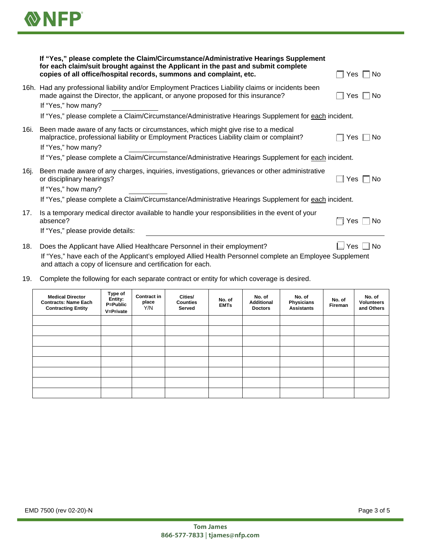

|      | If "Yes," please complete the Claim/Circumstance/Administrative Hearings Supplement<br>for each claim/suit brought against the Applicant in the past and submit complete<br>copies of all office/hospital records, summons and complaint, etc. | No<br>Yes $\Box$ |  |  |  |  |
|------|------------------------------------------------------------------------------------------------------------------------------------------------------------------------------------------------------------------------------------------------|------------------|--|--|--|--|
|      | 16h. Had any professional liability and/or Employment Practices Liability claims or incidents been<br>made against the Director, the applicant, or anyone proposed for this insurance?<br>If "Yes," how many?                                  | No<br>Yes        |  |  |  |  |
|      | If "Yes," please complete a Claim/Circumstance/Administrative Hearings Supplement for each incident.                                                                                                                                           |                  |  |  |  |  |
| 16i. | Been made aware of any facts or circumstances, which might give rise to a medical<br>malpractice, professional liability or Employment Practices Liability claim or complaint?<br>If "Yes," how many?                                          | No.<br>Yes       |  |  |  |  |
|      | If "Yes," please complete a Claim/Circumstance/Administrative Hearings Supplement for each incident.                                                                                                                                           |                  |  |  |  |  |
| 16j. | Been made aware of any charges, inquiries, investigations, grievances or other administrative<br>or disciplinary hearings?<br>If "Yes," how many?                                                                                              | No<br>Yes        |  |  |  |  |
|      | If "Yes," please complete a Claim/Circumstance/Administrative Hearings Supplement for each incident.                                                                                                                                           |                  |  |  |  |  |
| 17.  | Is a temporary medical director available to handle your responsibilities in the event of your<br>absence?<br>If "Yes," please provide details:                                                                                                | No.<br>Yes       |  |  |  |  |
| 18.  | Does the Applicant have Allied Healthcare Personnel in their employment?<br>If "Yos" bays sach of the Applicant's employed Allied Health Personnal complete an Employee Supplement                                                             | No<br>Yes        |  |  |  |  |

If "Yes," have each of the Applicant's employed Allied Health Personnel complete an Employee Supplement and attach a copy of licensure and certification for each.

19. Complete the following for each separate contract or entity for which coverage is desired.

| <b>Medical Director</b><br><b>Contracts: Name Each</b><br><b>Contracting Entity</b> | Type of<br>Entity:<br>P=Public<br>V=Private | <b>Contract in</b><br>place<br>Y/N | Cities/<br><b>Counties</b><br>Served | No. of<br><b>EMTs</b> | No. of<br><b>Additional</b><br><b>Doctors</b> | No. of<br>Physicians<br><b>Assistants</b> | No. of<br>Fireman | No. of<br><b>Volunteers</b><br>and Others |
|-------------------------------------------------------------------------------------|---------------------------------------------|------------------------------------|--------------------------------------|-----------------------|-----------------------------------------------|-------------------------------------------|-------------------|-------------------------------------------|
|                                                                                     |                                             |                                    |                                      |                       |                                               |                                           |                   |                                           |
|                                                                                     |                                             |                                    |                                      |                       |                                               |                                           |                   |                                           |
|                                                                                     |                                             |                                    |                                      |                       |                                               |                                           |                   |                                           |
|                                                                                     |                                             |                                    |                                      |                       |                                               |                                           |                   |                                           |
|                                                                                     |                                             |                                    |                                      |                       |                                               |                                           |                   |                                           |
|                                                                                     |                                             |                                    |                                      |                       |                                               |                                           |                   |                                           |
|                                                                                     |                                             |                                    |                                      |                       |                                               |                                           |                   |                                           |
|                                                                                     |                                             |                                    |                                      |                       |                                               |                                           |                   |                                           |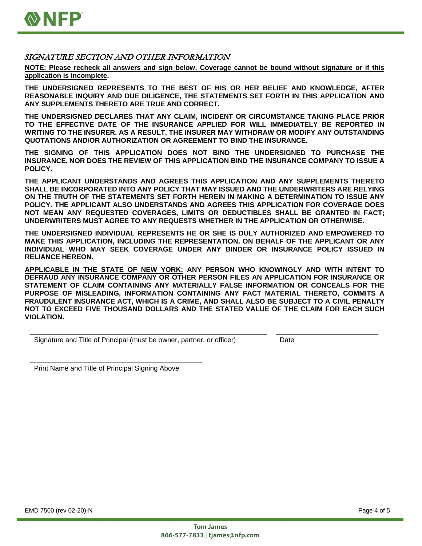

## SIGNATURE SECTION AND OTHER INFORMATION

**NOTE: Please recheck all answers and sign below. Coverage cannot be bound without signature or if this application is incomplete.**

**THE UNDERSIGNED REPRESENTS TO THE BEST OF HIS OR HER BELIEF AND KNOWLEDGE, AFTER REASONABLE INQUIRY AND DUE DILIGENCE, THE STATEMENTS SET FORTH IN THIS APPLICATION AND ANY SUPPLEMENTS THERETO ARE TRUE AND CORRECT.**

**THE UNDERSIGNED DECLARES THAT ANY CLAIM, INCIDENT OR CIRCUMSTANCE TAKING PLACE PRIOR TO THE EFFECTIVE DATE OF THE INSURANCE APPLIED FOR WILL IMMEDIATELY BE REPORTED IN WRITING TO THE INSURER. AS A RESULT, THE INSURER MAY WITHDRAW OR MODIFY ANY OUTSTANDING QUOTATIONS AND/OR AUTHORIZATION OR AGREEMENT TO BIND THE INSURANCE.**

**THE SIGNING OF THIS APPLICATION DOES NOT BIND THE UNDERSIGNED TO PURCHASE THE INSURANCE, NOR DOES THE REVIEW OF THIS APPLICATION BIND THE INSURANCE COMPANY TO ISSUE A POLICY.**

**THE APPLICANT UNDERSTANDS AND AGREES THIS APPLICATION AND ANY SUPPLEMENTS THERETO SHALL BE INCORPORATED INTO ANY POLICY THAT MAY ISSUED AND THE UNDERWRITERS ARE RELYING ON THE TRUTH OF THE STATEMENTS SET FORTH HEREIN IN MAKING A DETERMINATION TO ISSUE ANY POLICY. THE APPLICANT ALSO UNDERSTANDS AND AGREES THIS APPLICATION FOR COVERAGE DOES NOT MEAN ANY REQUESTED COVERAGES, LIMITS OR DEDUCTIBLES SHALL BE GRANTED IN FACT; UNDERWRITERS MUST AGREE TO ANY REQUESTS WHETHER IN THE APPLICATION OR OTHERWISE.**

**THE UNDERSIGNED INDIVIDUAL REPRESENTS HE OR SHE IS DULY AUTHORIZED AND EMPOWERED TO MAKE THIS APPLICATION, INCLUDING THE REPRESENTATION, ON BEHALF OF THE APPLICANT OR ANY INDIVIDUAL WHO MAY SEEK COVERAGE UNDER ANY BINDER OR INSURANCE POLICY ISSUED IN RELIANCE HEREON.**

**APPLICABLE IN THE STATE OF NEW YORK: ANY PERSON WHO KNOWINGLY AND WITH INTENT TO DEFRAUD ANY INSURANCE COMPANY OR OTHER PERSON FILES AN APPLICATION FOR INSURANCE OR STATEMENT OF CLAIM CONTAINING ANY MATERIALLY FALSE INFORMATION OR CONCEALS FOR THE PURPOSE OF MISLEADING, INFORMATION CONTAINING ANY FACT MATERIAL THERETO, COMMITS A FRAUDULENT INSURANCE ACT, WHICH IS A CRIME, AND SHALL ALSO BE SUBJECT TO A CIVIL PENALTY NOT TO EXCEED FIVE THOUSAND DOLLARS AND THE STATED VALUE OF THE CLAIM FOR EACH SUCH VIOLATION.**

Signature and Title of Principal (must be owner, partner, or officer) Date

Print Name and Title of Principal Signing Above